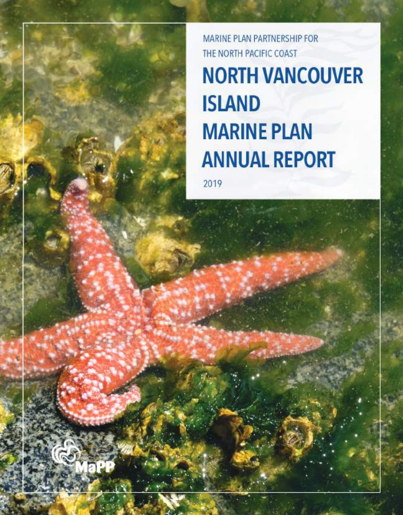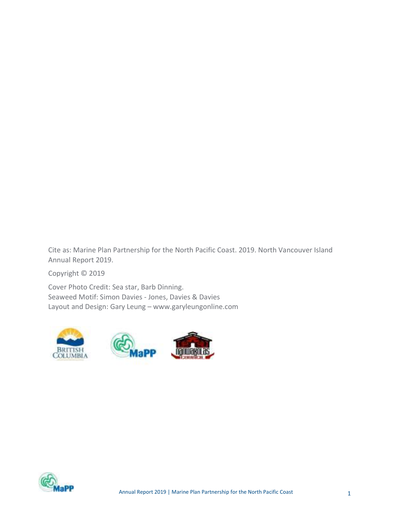Cite as: Marine Plan Partnership for the North Pacific Coast. 2019. North Vancouver Island Annual Report 2019.

Copyright © 2019

Cover Photo Credit: Sea star, Barb Dinning. Seaweed Motif: Simon Davies - Jones, Davies & Davies Layout and Design: Gary Leung – www.garyleungonline.com







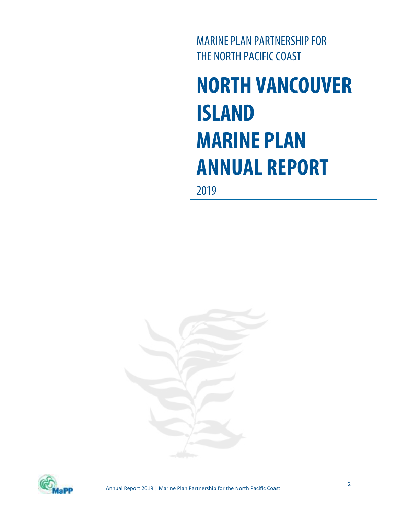MARINE PLAN PARTNERSHIP FOR THE NORTH PACIFIC COAST

**NORTH VANCOUVER ISLAND MARINE PLAN ANNUAL REPORT** 

2019



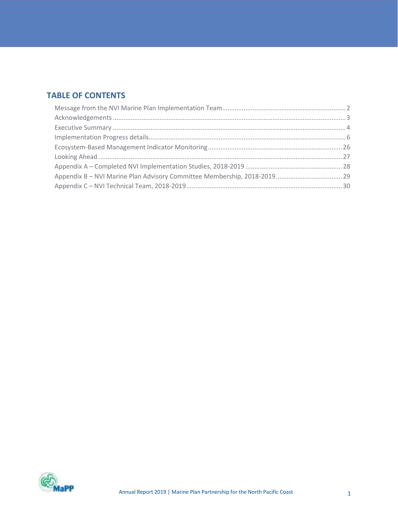# TABLE OF CONTENTS

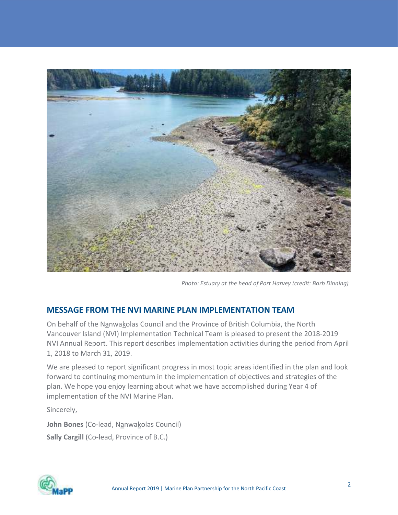

Photo: Estuary at the head of Port Harvey (credit: Barb Dinning)

#### MESSAGE FROM THE NVI MARINE PLAN IMPLEMENTATION TEAM

On behalf of the Nanwakolas Council and the Province of British Columbia, the North Vancouver Island (NVI) Implementation Technical Team is pleased to present the 2018-2019 NVI Annual Report. This report describes implementation activities during the period from April 1, 2018 to March 31, 2019.

We are pleased to report significant progress in most topic areas identified in the plan and look forward to continuing momentum in the implementation of objectives and strategies of the plan. We hope you enjoy learning about what we have accomplished during Year 4 of implementation of the NVI Marine Plan.

Sincerely,

John Bones (Co-lead, Nanwakolas Council) Sally Cargill (Co-lead, Province of B.C.)

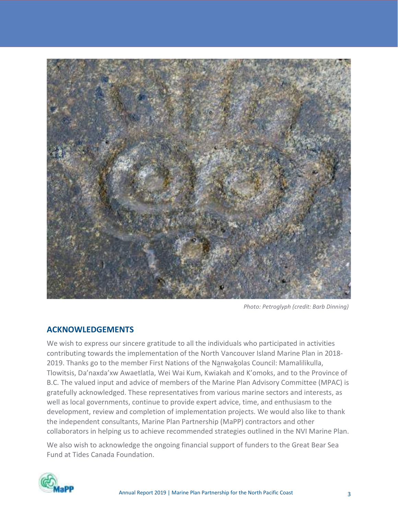

Photo: Petroglyph (credit: Barb Dinning)

#### ACKNOWLEDGEMENTS

We wish to express our sincere gratitude to all the individuals who participated in activities contributing towards the implementation of the North Vancouver Island Marine Plan in 2018- 2019. Thanks go to the member First Nations of the Nanwakolas Council: Mamalilikulla, Tlowitsis, Da'naxda'xw Awaetlatla, Wei Wai Kum, Kwiakah and K'omoks, and to the Province of B.C. The valued input and advice of members of the Marine Plan Advisory Committee (MPAC) is gratefully acknowledged. These representatives from various marine sectors and interests, as well as local governments, continue to provide expert advice, time, and enthusiasm to the development, review and completion of implementation projects. We would also like to thank the independent consultants, Marine Plan Partnership (MaPP) contractors and other collaborators in helping us to achieve recommended strategies outlined in the NVI Marine Plan.

We also wish to acknowledge the ongoing financial support of funders to the Great Bear Sea Fund at Tides Canada Foundation.

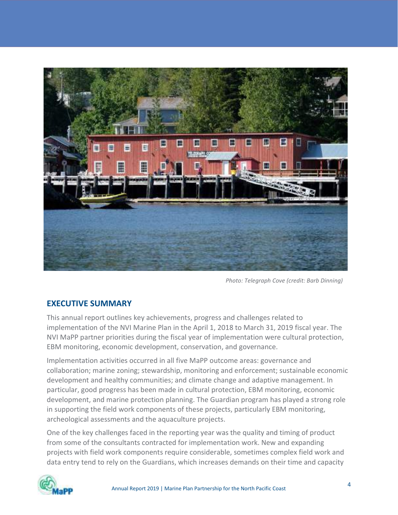

Photo: Telegraph Cove (credit: Barb Dinning)

#### EXECUTIVE SUMMARY

This annual report outlines key achievements, progress and challenges related to implementation of the NVI Marine Plan in the April 1, 2018 to March 31, 2019 fiscal year. The NVI MaPP partner priorities during the fiscal year of implementation were cultural protection, EBM monitoring, economic development, conservation, and governance.

Implementation activities occurred in all five MaPP outcome areas: governance and collaboration; marine zoning; stewardship, monitoring and enforcement; sustainable economic development and healthy communities; and climate change and adaptive management. In particular, good progress has been made in cultural protection, EBM monitoring, economic development, and marine protection planning. The Guardian program has played a strong role in supporting the field work components of these projects, particularly EBM monitoring, archeological assessments and the aquaculture projects.

One of the key challenges faced in the reporting year was the quality and timing of product from some of the consultants contracted for implementation work. New and expanding projects with field work components require considerable, sometimes complex field work and data entry tend to rely on the Guardians, which increases demands on their time and capacity

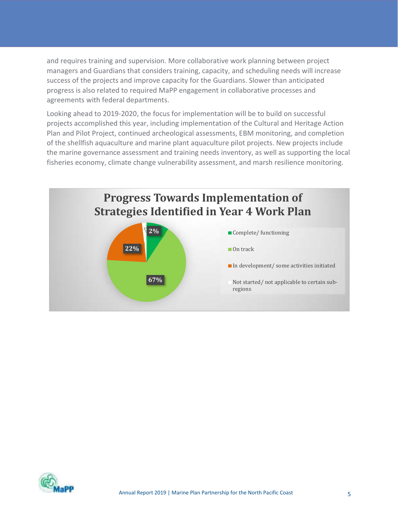and requires training and supervision. More collaborative work planning between project managers and Guardians that considers training, capacity, and scheduling needs will increase success of the projects and improve capacity for the Guardians. Slower than anticipated progress is also related to required MaPP engagement in collaborative processes and agreements with federal departments.

Looking ahead to 2019-2020, the focus for implementation will be to build on successful projects accomplished this year, including implementation of the Cultural and Heritage Action Plan and Pilot Project, continued archeological assessments, EBM monitoring, and completion of the shellfish aquaculture and marine plant aquaculture pilot projects. New projects include the marine governance assessment and training needs inventory, as well as supporting the local fisheries economy, climate change vulnerability assessment, and marsh resilience monitoring.



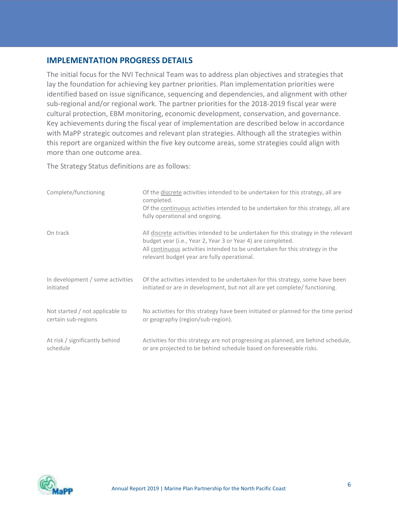#### IMPLEMENTATION PROGRESS DETAILS

The initial focus for the NVI Technical Team was to address plan objectives and strategies that lay the foundation for achieving key partner priorities. Plan implementation priorities were identified based on issue significance, sequencing and dependencies, and alignment with other sub-regional and/or regional work. The partner priorities for the 2018-2019 fiscal year were cultural protection, EBM monitoring, economic development, conservation, and governance. Key achievements during the fiscal year of implementation are described below in accordance with MaPP strategic outcomes and relevant plan strategies. Although all the strategies within this report are organized within the five key outcome areas, some strategies could align with more than one outcome area.

The Strategy Status definitions are as follows:

| Complete/functioning             | Of the discrete activities intended to be undertaken for this strategy, all are<br>completed.<br>Of the continuous activities intended to be undertaken for this strategy, all are<br>fully operational and ongoing.                                                              |
|----------------------------------|-----------------------------------------------------------------------------------------------------------------------------------------------------------------------------------------------------------------------------------------------------------------------------------|
| On track                         | All discrete activities intended to be undertaken for this strategy in the relevant<br>budget year (i.e., Year 2, Year 3 or Year 4) are completed.<br>All continuous activities intended to be undertaken for this strategy in the<br>relevant budget year are fully operational. |
| In development / some activities | Of the activities intended to be undertaken for this strategy, some have been                                                                                                                                                                                                     |
| initiated                        | initiated or are in development, but not all are yet complete/ functioning.                                                                                                                                                                                                       |
| Not started / not applicable to  | No activities for this strategy have been initiated or planned for the time period                                                                                                                                                                                                |
| certain sub-regions              | or geography (region/sub-region).                                                                                                                                                                                                                                                 |
| At risk / significantly behind   | Activities for this strategy are not progressing as planned, are behind schedule,                                                                                                                                                                                                 |
| schedule                         | or are projected to be behind schedule based on foreseeable risks.                                                                                                                                                                                                                |

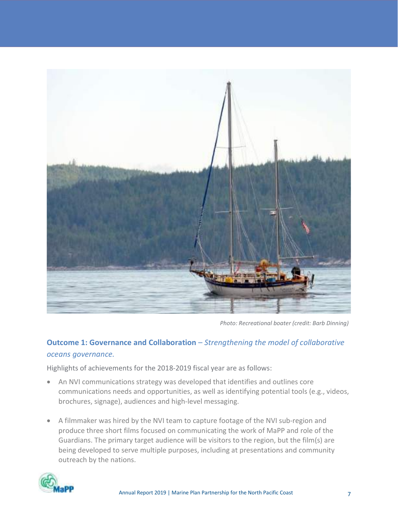

Photo: Recreational boater (credit: Barb Dinning)

# Outcome 1: Governance and Collaboration – Strengthening the model of collaborative oceans governance.

Highlights of achievements for the 2018-2019 fiscal year are as follows:

- An NVI communications strategy was developed that identifies and outlines core communications needs and opportunities, as well as identifying potential tools (e.g., videos, brochures, signage), audiences and high-level messaging.
- A filmmaker was hired by the NVI team to capture footage of the NVI sub-region and produce three short films focused on communicating the work of MaPP and role of the Guardians. The primary target audience will be visitors to the region, but the film(s) are being developed to serve multiple purposes, including at presentations and community outreach by the nations.

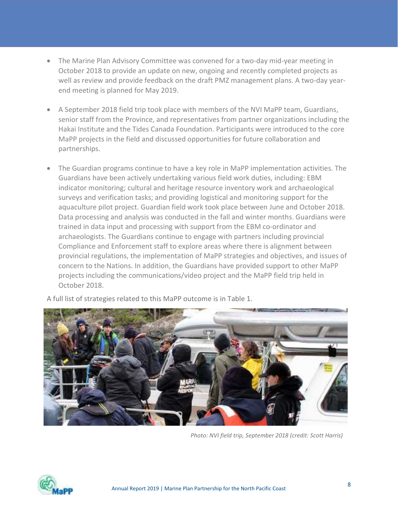- The Marine Plan Advisory Committee was convened for a two-day mid-year meeting in October 2018 to provide an update on new, ongoing and recently completed projects as well as review and provide feedback on the draft PMZ management plans. A two-day yearend meeting is planned for May 2019.
- A September 2018 field trip took place with members of the NVI MaPP team, Guardians, senior staff from the Province, and representatives from partner organizations including the Hakai Institute and the Tides Canada Foundation. Participants were introduced to the core MaPP projects in the field and discussed opportunities for future collaboration and partnerships.
- The Guardian programs continue to have a key role in MaPP implementation activities. The Guardians have been actively undertaking various field work duties, including: EBM indicator monitoring; cultural and heritage resource inventory work and archaeological surveys and verification tasks; and providing logistical and monitoring support for the aquaculture pilot project. Guardian field work took place between June and October 2018. Data processing and analysis was conducted in the fall and winter months. Guardians were trained in data input and processing with support from the EBM co-ordinator and archaeologists. The Guardians continue to engage with partners including provincial Compliance and Enforcement staff to explore areas where there is alignment between provincial regulations, the implementation of MaPP strategies and objectives, and issues of concern to the Nations. In addition, the Guardians have provided support to other MaPP projects including the communications/video project and the MaPP field trip held in October 2018.



A full list of strategies related to this MaPP outcome is in Table 1.

Photo: NVI field trip, September 2018 (credit: Scott Harris)

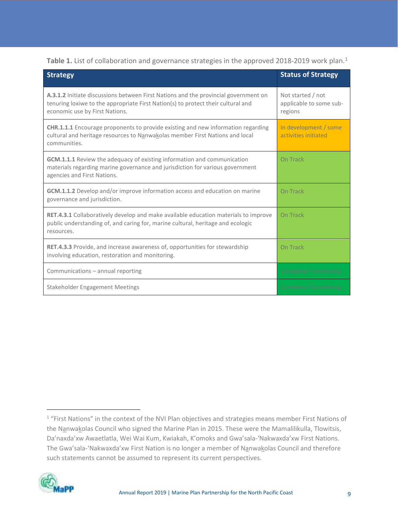Table 1. List of collaboration and governance strategies in the approved 2018-2019 work plan.<sup>1</sup>

| <b>Strategy</b>                                                                                                                                                                                           | <b>Status of Strategy</b>                               |
|-----------------------------------------------------------------------------------------------------------------------------------------------------------------------------------------------------------|---------------------------------------------------------|
| A.3.1.2 Initiate discussions between First Nations and the provincial government on<br>tenuring loxiwe to the appropriate First Nation(s) to protect their cultural and<br>economic use by First Nations. | Not started / not<br>applicable to some sub-<br>regions |
| <b>CHR.1.1.1</b> Encourage proponents to provide existing and new information regarding<br>cultural and heritage resources to Nanwakolas member First Nations and local<br>communities.                   | In development / some<br>activities initiated           |
| <b>GCM.1.1.1</b> Review the adequacy of existing information and communication<br>materials regarding marine governance and jurisdiction for various government<br>agencies and First Nations.            | On Track                                                |
| GCM.1.1.2 Develop and/or improve information access and education on marine<br>governance and jurisdiction.                                                                                               | On Track                                                |
| <b>RET.4.3.1</b> Collaboratively develop and make available education materials to improve<br>public understanding of, and caring for, marine cultural, heritage and ecologic<br>resources.               | On Track                                                |
| RET.4.3.3 Provide, and increase awareness of, opportunities for stewardship<br>involving education, restoration and monitoring.                                                                           | On Track                                                |
| Communications - annual reporting                                                                                                                                                                         | Complete/Functioning                                    |
| <b>Stakeholder Engagement Meetings</b>                                                                                                                                                                    | Complete/Functioning                                    |

<sup>&</sup>lt;sup>1</sup> "First Nations" in the context of the NVI Plan objectives and strategies means member First Nations of the Nanwakolas Council who signed the Marine Plan in 2015. These were the Mamalilikulla, Tlowitsis, Da'naxda'xw Awaetlatla, Wei Wai Kum, Kwiakah, K'omoks and Gwa'sala-'Nakwaxda'xw First Nations. The Gwa'sala-'Nakwaxda'xw First Nation is no longer a member of Nanwakolas Council and therefore such statements cannot be assumed to represent its current perspectives.

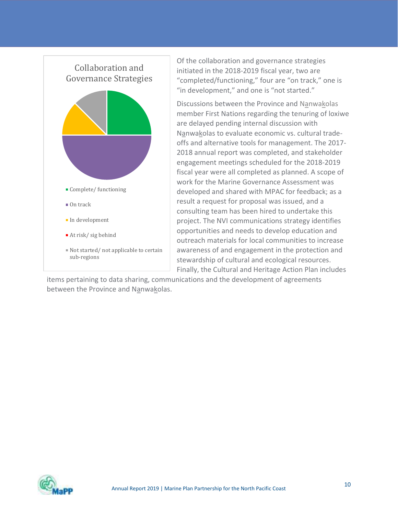

Of the collaboration and governance strategies initiated in the 2018-2019 fiscal year, two are "completed/functioning," four are "on track," one is "in development," and one is "not started."

Discussions between the Province and Nanwakolas member First Nations regarding the tenuring of loxiwe are delayed pending internal discussion with Nanwakolas to evaluate economic vs. cultural tradeoffs and alternative tools for management. The 2017- 2018 annual report was completed, and stakeholder engagement meetings scheduled for the 2018-2019 fiscal year were all completed as planned. A scope of work for the Marine Governance Assessment was developed and shared with MPAC for feedback; as a result a request for proposal was issued, and a consulting team has been hired to undertake this project. The NVI communications strategy identifies opportunities and needs to develop education and outreach materials for local communities to increase Not started/not applicable to certain  $\parallel$  awareness of and engagement in the protection and stewardship of cultural and ecological resources. Finally, the Cultural and Heritage Action Plan includes

items pertaining to data sharing, communications and the development of agreements between the Province and Nanwakolas.

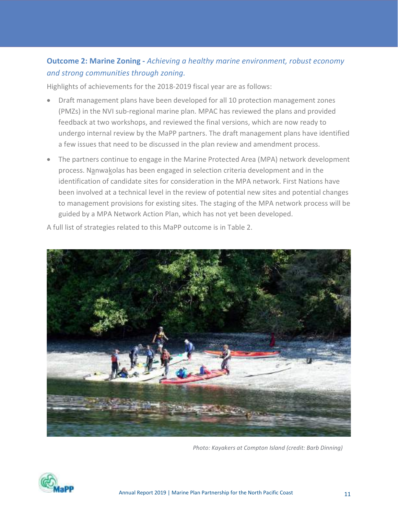### Outcome 2: Marine Zoning - Achieving a healthy marine environment, robust economy and strong communities through zoning.

Highlights of achievements for the 2018-2019 fiscal year are as follows:

- Draft management plans have been developed for all 10 protection management zones (PMZs) in the NVI sub-regional marine plan. MPAC has reviewed the plans and provided feedback at two workshops, and reviewed the final versions, which are now ready to undergo internal review by the MaPP partners. The draft management plans have identified a few issues that need to be discussed in the plan review and amendment process.
- The partners continue to engage in the Marine Protected Area (MPA) network development process. Nanwakolas has been engaged in selection criteria development and in the identification of candidate sites for consideration in the MPA network. First Nations have been involved at a technical level in the review of potential new sites and potential changes to management provisions for existing sites. The staging of the MPA network process will be guided by a MPA Network Action Plan, which has not yet been developed.



A full list of strategies related to this MaPP outcome is in Table 2.

Photo: Kayakers at Compton Island (credit: Barb Dinning)

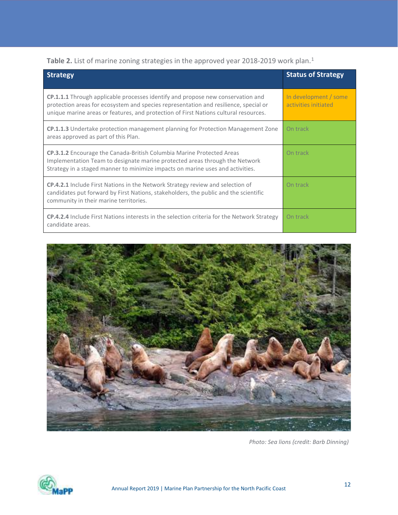Table 2. List of marine zoning strategies in the approved year 2018-2019 work plan.<sup>1</sup>

| <b>Strategy</b>                                                                                                                                                                                                                                                 | <b>Status of Strategy</b>                     |
|-----------------------------------------------------------------------------------------------------------------------------------------------------------------------------------------------------------------------------------------------------------------|-----------------------------------------------|
| CP.1.1.1 Through applicable processes identify and propose new conservation and<br>protection areas for ecosystem and species representation and resilience, special or<br>unique marine areas or features, and protection of First Nations cultural resources. | In development / some<br>activities initiated |
| CP.1.1.3 Undertake protection management planning for Protection Management Zone<br>areas approved as part of this Plan.                                                                                                                                        | On track                                      |
| <b>CP.3.1.2</b> Encourage the Canada-British Columbia Marine Protected Areas<br>Implementation Team to designate marine protected areas through the Network<br>Strategy in a staged manner to minimize impacts on marine uses and activities.                   | On track                                      |
| <b>CP.4.2.1</b> Include First Nations in the Network Strategy review and selection of<br>candidates put forward by First Nations, stakeholders, the public and the scientific<br>community in their marine territories.                                         | On track                                      |
| <b>CP.4.2.4</b> Include First Nations interests in the selection criteria for the Network Strategy<br>candidate areas.                                                                                                                                          | On track                                      |



Photo: Sea lions (credit: Barb Dinning)

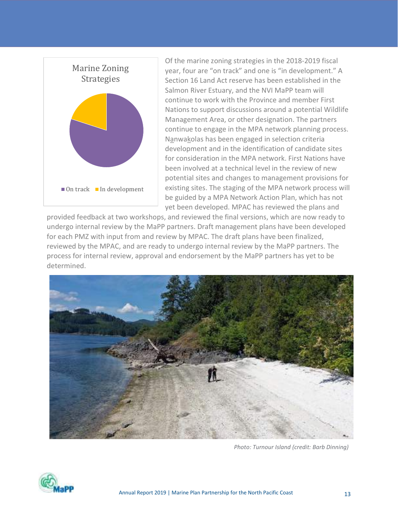

Of the marine zoning strategies in the 2018-2019 fiscal year, four are "on track" and one is "in development." A Section 16 Land Act reserve has been established in the Salmon River Estuary, and the NVI MaPP team will continue to work with the Province and member First Nations to support discussions around a potential Wildlife Management Area, or other designation. The partners continue to engage in the MPA network planning process. Nanwakolas has been engaged in selection criteria development and in the identification of candidate sites for consideration in the MPA network. First Nations have been involved at a technical level in the review of new potential sites and changes to management provisions for existing sites. The staging of the MPA network process will be guided by a MPA Network Action Plan, which has not yet been developed. MPAC has reviewed the plans and

provided feedback at two workshops, and reviewed the final versions, which are now ready to undergo internal review by the MaPP partners. Draft management plans have been developed for each PMZ with input from and review by MPAC. The draft plans have been finalized, reviewed by the MPAC, and are ready to undergo internal review by the MaPP partners. The process for internal review, approval and endorsement by the MaPP partners has yet to be determined.



Photo: Turnour Island (credit: Barb Dinning)

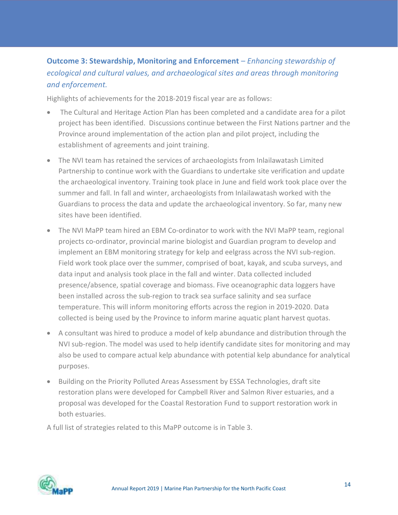# Outcome 3: Stewardship, Monitoring and Enforcement – Enhancing stewardship of ecological and cultural values, and archaeological sites and areas through monitoring and enforcement.

Highlights of achievements for the 2018-2019 fiscal year are as follows:

- The Cultural and Heritage Action Plan has been completed and a candidate area for a pilot project has been identified. Discussions continue between the First Nations partner and the Province around implementation of the action plan and pilot project, including the establishment of agreements and joint training.
- The NVI team has retained the services of archaeologists from Inlailawatash Limited Partnership to continue work with the Guardians to undertake site verification and update the archaeological inventory. Training took place in June and field work took place over the summer and fall. In fall and winter, archaeologists from Inlailawatash worked with the Guardians to process the data and update the archaeological inventory. So far, many new sites have been identified.
- The NVI MaPP team hired an EBM Co-ordinator to work with the NVI MaPP team, regional projects co-ordinator, provincial marine biologist and Guardian program to develop and implement an EBM monitoring strategy for kelp and eelgrass across the NVI sub-region. Field work took place over the summer, comprised of boat, kayak, and scuba surveys, and data input and analysis took place in the fall and winter. Data collected included presence/absence, spatial coverage and biomass. Five oceanographic data loggers have been installed across the sub-region to track sea surface salinity and sea surface temperature. This will inform monitoring efforts across the region in 2019-2020. Data collected is being used by the Province to inform marine aquatic plant harvest quotas.
- A consultant was hired to produce a model of kelp abundance and distribution through the NVI sub-region. The model was used to help identify candidate sites for monitoring and may also be used to compare actual kelp abundance with potential kelp abundance for analytical purposes.
- Building on the Priority Polluted Areas Assessment by ESSA Technologies, draft site restoration plans were developed for Campbell River and Salmon River estuaries, and a proposal was developed for the Coastal Restoration Fund to support restoration work in both estuaries.

A full list of strategies related to this MaPP outcome is in Table 3.

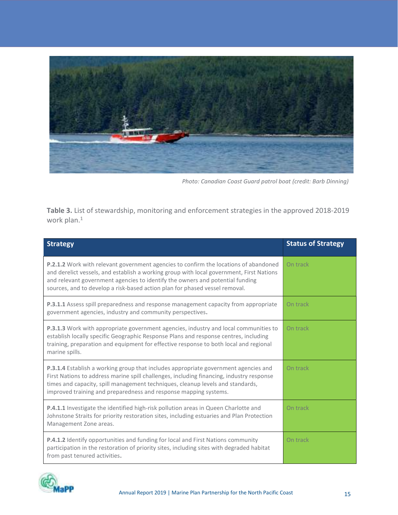

Photo: Canadian Coast Guard patrol boat (credit: Barb Dinning)

Table 3. List of stewardship, monitoring and enforcement strategies in the approved 2018-2019 work plan.<sup>1</sup>

| <b>Strategy</b>                                                                                                                                                                                                                                                                                                                                         | <b>Status of Strategy</b> |
|---------------------------------------------------------------------------------------------------------------------------------------------------------------------------------------------------------------------------------------------------------------------------------------------------------------------------------------------------------|---------------------------|
| <b>P.2.1.2</b> Work with relevant government agencies to confirm the locations of abandoned<br>and derelict vessels, and establish a working group with local government, First Nations<br>and relevant government agencies to identify the owners and potential funding<br>sources, and to develop a risk-based action plan for phased vessel removal. | On track                  |
| P.3.1.1 Assess spill preparedness and response management capacity from appropriate<br>government agencies, industry and community perspectives.                                                                                                                                                                                                        | On track                  |
| P.3.1.3 Work with appropriate government agencies, industry and local communities to<br>establish locally specific Geographic Response Plans and response centres, including<br>training, preparation and equipment for effective response to both local and regional<br>marine spills.                                                                 | On track                  |
| P.3.1.4 Establish a working group that includes appropriate government agencies and<br>First Nations to address marine spill challenges, including financing, industry response<br>times and capacity, spill management techniques, cleanup levels and standards,<br>improved training and preparedness and response mapping systems.                   | On track                  |
| <b>P.4.1.1</b> Investigate the identified high-risk pollution areas in Queen Charlotte and<br>Johnstone Straits for priority restoration sites, including estuaries and Plan Protection<br>Management Zone areas.                                                                                                                                       | On track                  |
| <b>P.4.1.2</b> Identify opportunities and funding for local and First Nations community<br>participation in the restoration of priority sites, including sites with degraded habitat<br>from past tenured activities.                                                                                                                                   | On track                  |

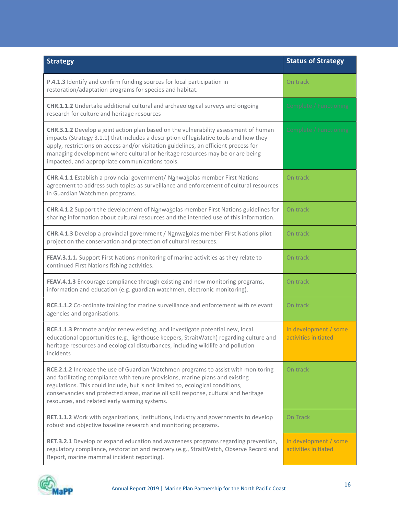| <b>Strategy</b>                                                                                                                                                                                                                                                                                                                                                                                            | <b>Status of Strategy</b>                     |
|------------------------------------------------------------------------------------------------------------------------------------------------------------------------------------------------------------------------------------------------------------------------------------------------------------------------------------------------------------------------------------------------------------|-----------------------------------------------|
| P.4.1.3 Identify and confirm funding sources for local participation in<br>restoration/adaptation programs for species and habitat.                                                                                                                                                                                                                                                                        | On track                                      |
| CHR.1.1.2 Undertake additional cultural and archaeological surveys and ongoing<br>research for culture and heritage resources                                                                                                                                                                                                                                                                              | Complete / Functioning                        |
| CHR.3.1.2 Develop a joint action plan based on the vulnerability assessment of human<br>impacts (Strategy 3.1.1) that includes a description of legislative tools and how they<br>apply, restrictions on access and/or visitation guidelines, an efficient process for<br>managing development where cultural or heritage resources may be or are being<br>impacted, and appropriate communications tools. | Complete / Functioning                        |
| CHR.4.1.1 Establish a provincial government/ Nanwakolas member First Nations<br>agreement to address such topics as surveillance and enforcement of cultural resources<br>in Guardian Watchmen programs.                                                                                                                                                                                                   | On track                                      |
| CHR.4.1.2 Support the development of Nanwakolas member First Nations guidelines for<br>sharing information about cultural resources and the intended use of this information.                                                                                                                                                                                                                              | On track                                      |
| CHR.4.1.3 Develop a provincial government / Nanwakolas member First Nations pilot<br>project on the conservation and protection of cultural resources.                                                                                                                                                                                                                                                     | On track                                      |
| FEAV.3.1.1. Support First Nations monitoring of marine activities as they relate to<br>continued First Nations fishing activities.                                                                                                                                                                                                                                                                         | On track                                      |
| FEAV.4.1.3 Encourage compliance through existing and new monitoring programs,<br>information and education (e.g. guardian watchmen, electronic monitoring).                                                                                                                                                                                                                                                | On track                                      |
| RCE.1.1.2 Co-ordinate training for marine surveillance and enforcement with relevant<br>agencies and organisations.                                                                                                                                                                                                                                                                                        | On track                                      |
| RCE.1.1.3 Promote and/or renew existing, and investigate potential new, local<br>educational opportunities (e.g., lighthouse keepers, StraitWatch) regarding culture and<br>heritage resources and ecological disturbances, including wildlife and pollution<br>incidents                                                                                                                                  | In development / some<br>activities initiated |
| RCE.2.1.2 Increase the use of Guardian Watchmen programs to assist with monitoring<br>and facilitating compliance with tenure provisions, marine plans and existing<br>regulations. This could include, but is not limited to, ecological conditions,<br>conservancies and protected areas, marine oil spill response, cultural and heritage<br>resources, and related early warning systems.              | On track                                      |
| RET.1.1.2 Work with organizations, institutions, industry and governments to develop<br>robust and objective baseline research and monitoring programs.                                                                                                                                                                                                                                                    | On Track                                      |
| RET.3.2.1 Develop or expand education and awareness programs regarding prevention,<br>regulatory compliance, restoration and recovery (e.g., StraitWatch, Observe Record and<br>Report, marine mammal incident reporting).                                                                                                                                                                                 | In development / some<br>activities initiated |

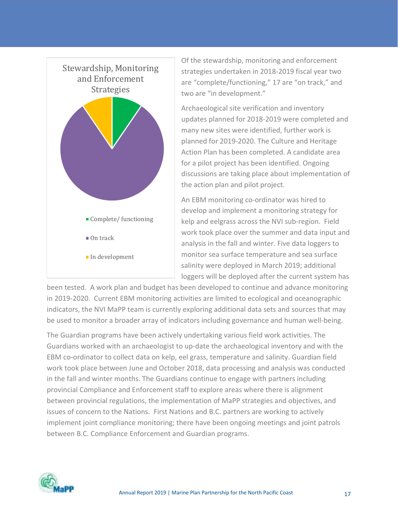

Of the stewardship, monitoring and enforcement strategies undertaken in 2018-2019 fiscal year two are "complete/functioning," 17 are "on track," and two are "in development."

Archaeological site verification and inventory updates planned for 2018-2019 were completed and many new sites were identified, further work is planned for 2019-2020. The Culture and Heritage Action Plan has been completed. A candidate area for a pilot project has been identified. Ongoing discussions are taking place about implementation of the action plan and pilot project.

An EBM monitoring co-ordinator was hired to develop and implement a monitoring strategy for kelp and eelgrass across the NVI sub-region. Field work took place over the summer and data input and analysis in the fall and winter. Five data loggers to monitor sea surface temperature and sea surface salinity were deployed in March 2019; additional loggers will be deployed after the current system has

been tested. A work plan and budget has been developed to continue and advance monitoring in 2019-2020. Current EBM monitoring activities are limited to ecological and oceanographic indicators, the NVI MaPP team is currently exploring additional data sets and sources that may be used to monitor a broader array of indicators including governance and human well-being.

The Guardian programs have been actively undertaking various field work activities. The Guardians worked with an archaeologist to up-date the archaeological inventory and with the EBM co-ordinator to collect data on kelp, eel grass, temperature and salinity. Guardian field work took place between June and October 2018, data processing and analysis was conducted in the fall and winter months. The Guardians continue to engage with partners including provincial Compliance and Enforcement staff to explore areas where there is alignment between provincial regulations, the implementation of MaPP strategies and objectives, and issues of concern to the Nations. First Nations and B.C. partners are working to actively implement joint compliance monitoring; there have been ongoing meetings and joint patrols between B.C. Compliance Enforcement and Guardian programs.

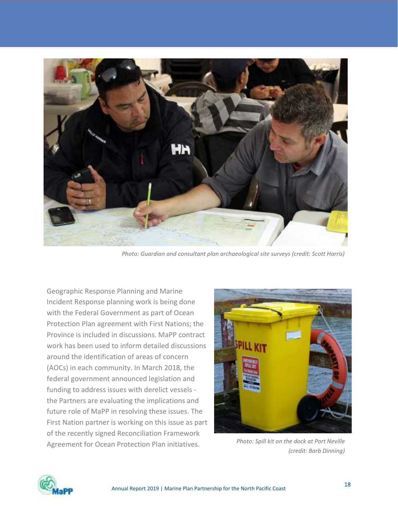

Photo: Guardian and consultant plan archaeological site surveys (credit: Scott Harris)

Geographic Response Planning and Marine Incident Response planning work is being done with the Federal Government as part of Ocean Protection Plan agreement with First Nations; the Province is included in discussions. MaPP contract work has been used to inform detailed discussions around the identification of areas of concern (AOCs) in each community. In March 2018, the federal government announced legislation and funding to address issues with derelict vessels the Partners are evaluating the implications and future role of MaPP in resolving these issues. The First Nation partner is working on this issue as part of the recently signed Reconciliation Framework Agreement for Ocean Protection Plan initiatives.



Photo: Spill kit on the dock at Port Neville (credit: Barb Dinning)

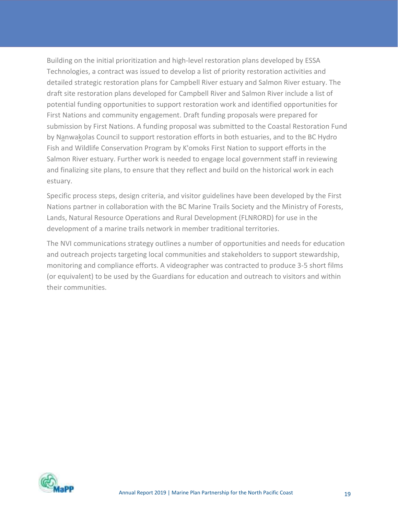Building on the initial prioritization and high-level restoration plans developed by ESSA Technologies, a contract was issued to develop a list of priority restoration activities and detailed strategic restoration plans for Campbell River estuary and Salmon River estuary. The draft site restoration plans developed for Campbell River and Salmon River include a list of potential funding opportunities to support restoration work and identified opportunities for First Nations and community engagement. Draft funding proposals were prepared for submission by First Nations. A funding proposal was submitted to the Coastal Restoration Fund by Nanwakolas Council to support restoration efforts in both estuaries, and to the BC Hydro Fish and Wildlife Conservation Program by K'omoks First Nation to support efforts in the Salmon River estuary. Further work is needed to engage local government staff in reviewing and finalizing site plans, to ensure that they reflect and build on the historical work in each estuary.

Specific process steps, design criteria, and visitor guidelines have been developed by the First Nations partner in collaboration with the BC Marine Trails Society and the Ministry of Forests, Lands, Natural Resource Operations and Rural Development (FLNRORD) for use in the development of a marine trails network in member traditional territories.

The NVI communications strategy outlines a number of opportunities and needs for education and outreach projects targeting local communities and stakeholders to support stewardship, monitoring and compliance efforts. A videographer was contracted to produce 3-5 short films (or equivalent) to be used by the Guardians for education and outreach to visitors and within their communities.

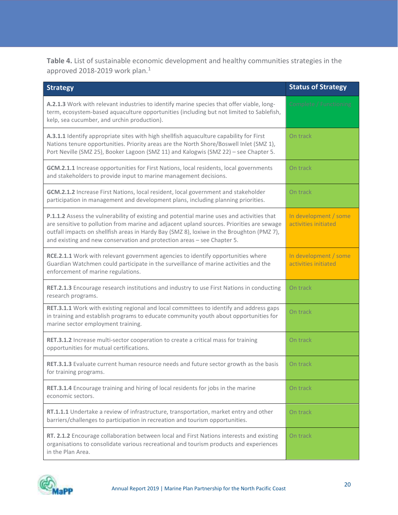Table 4. List of sustainable economic development and healthy communities strategies in the approved 2018-2019 work plan.<sup>1</sup>

| <b>Strategy</b>                                                                                                                                                                                                                                                                                                                                                 | <b>Status of Strategy</b>                     |
|-----------------------------------------------------------------------------------------------------------------------------------------------------------------------------------------------------------------------------------------------------------------------------------------------------------------------------------------------------------------|-----------------------------------------------|
| A.2.1.3 Work with relevant industries to identify marine species that offer viable, long-<br>term, ecosystem-based aquaculture opportunities (including but not limited to Sablefish,<br>kelp, sea cucumber, and urchin production).                                                                                                                            | Complete / Functioning                        |
| A.3.1.1 Identify appropriate sites with high shellfish aquaculture capability for First<br>Nations tenure opportunities. Priority areas are the North Shore/Boswell Inlet (SMZ 1),<br>Port Neville (SMZ 25), Booker Lagoon (SMZ 11) and Kalogwis (SMZ 22) - see Chapter 5.                                                                                      | On track                                      |
| GCM.2.1.1 Increase opportunities for First Nations, local residents, local governments<br>and stakeholders to provide input to marine management decisions.                                                                                                                                                                                                     | On track                                      |
| GCM.2.1.2 Increase First Nations, local resident, local government and stakeholder<br>participation in management and development plans, including planning priorities.                                                                                                                                                                                         | On track                                      |
| P.1.1.2 Assess the vulnerability of existing and potential marine uses and activities that<br>are sensitive to pollution from marine and adjacent upland sources. Priorities are sewage<br>outfall impacts on shellfish areas in Hardy Bay (SMZ 8), loxiwe in the Broughton (PMZ 7),<br>and existing and new conservation and protection areas - see Chapter 5. | In development / some<br>activities initiated |
| RCE.2.1.1 Work with relevant government agencies to identify opportunities where<br>Guardian Watchmen could participate in the surveillance of marine activities and the<br>enforcement of marine regulations.                                                                                                                                                  | In development / some<br>activities initiated |
| RET.2.1.3 Encourage research institutions and industry to use First Nations in conducting<br>research programs.                                                                                                                                                                                                                                                 | On track                                      |
| RET.3.1.1 Work with existing regional and local committees to identify and address gaps<br>in training and establish programs to educate community youth about opportunities for<br>marine sector employment training.                                                                                                                                          | On track                                      |
| RET.3.1.2 Increase multi-sector cooperation to create a critical mass for training<br>opportunities for mutual certifications.                                                                                                                                                                                                                                  | On track                                      |
| RET.3.1.3 Evaluate current human resource needs and future sector growth as the basis<br>for training programs.                                                                                                                                                                                                                                                 | On track                                      |
| RET.3.1.4 Encourage training and hiring of local residents for jobs in the marine<br>economic sectors.                                                                                                                                                                                                                                                          | On track                                      |
| RT.1.1.1 Undertake a review of infrastructure, transportation, market entry and other<br>barriers/challenges to participation in recreation and tourism opportunities.                                                                                                                                                                                          | On track                                      |
| RT. 2.1.2 Encourage collaboration between local and First Nations interests and existing<br>organisations to consolidate various recreational and tourism products and experiences<br>in the Plan Area.                                                                                                                                                         | On track                                      |

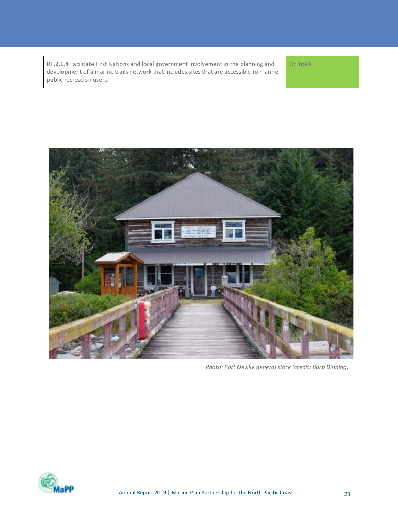RT.2.1.4 Facilitate First Nations and local government involvement in the planning and development of a marine trails network that includes sites that are accessible to marine public recreation users.

On track



Photo: Port Neville general store (credit: Barb Dinning)

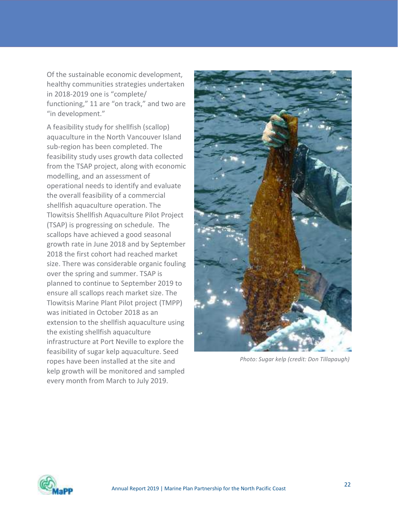Of the sustainable economic development, healthy communities strategies undertaken in 2018-2019 one is "complete/ functioning," 11 are "on track," and two are "in development."

A feasibility study for shellfish (scallop) aquaculture in the North Vancouver Island sub-region has been completed. The feasibility study uses growth data collected from the TSAP project, along with economic modelling, and an assessment of operational needs to identify and evaluate the overall feasibility of a commercial shellfish aquaculture operation. The Tlowitsis Shellfish Aquaculture Pilot Project (TSAP) is progressing on schedule. The scallops have achieved a good seasonal growth rate in June 2018 and by September 2018 the first cohort had reached market size. There was considerable organic fouling over the spring and summer. TSAP is planned to continue to September 2019 to ensure all scallops reach market size. The Tlowitsis Marine Plant Pilot project (TMPP) was initiated in October 2018 as an extension to the shellfish aquaculture using the existing shellfish aquaculture infrastructure at Port Neville to explore the feasibility of sugar kelp aquaculture. Seed ropes have been installed at the site and kelp growth will be monitored and sampled every month from March to July 2019.



Photo: Sugar kelp (credit: Don Tillapaugh)

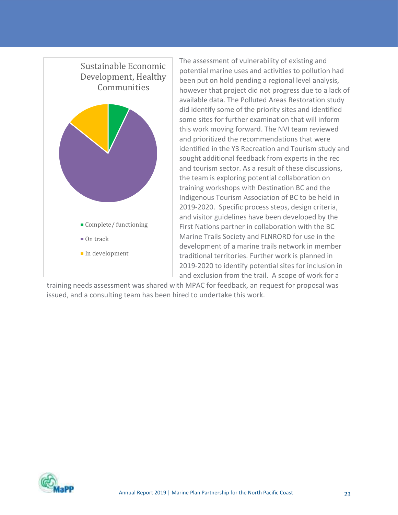

The assessment of vulnerability of existing and potential marine uses and activities to pollution had been put on hold pending a regional level analysis, Communities however that project did not progress due to a lack of available data. The Polluted Areas Restoration study did identify some of the priority sites and identified some sites for further examination that will inform this work moving forward. The NVI team reviewed and prioritized the recommendations that were identified in the Y3 Recreation and Tourism study and sought additional feedback from experts in the rec and tourism sector. As a result of these discussions, the team is exploring potential collaboration on training workshops with Destination BC and the Indigenous Tourism Association of BC to be held in 2019-2020. Specific process steps, design criteria, and visitor guidelines have been developed by the First Nations partner in collaboration with the BC Marine Trails Society and FLNRORD for use in the On track development of a marine trails network in member traditional territories. Further work is planned in 2019-2020 to identify potential sites for inclusion in and exclusion from the trail. A scope of work for a

training needs assessment was shared with MPAC for feedback, an request for proposal was issued, and a consulting team has been hired to undertake this work.

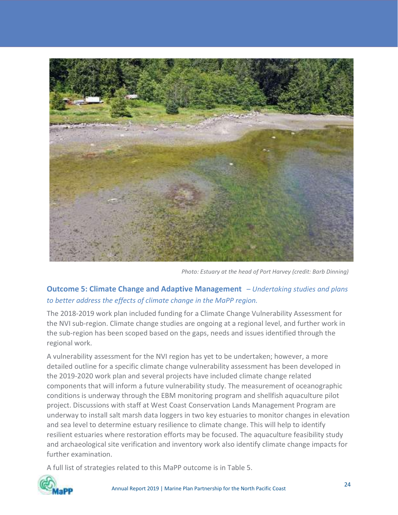

Photo: Estuary at the head of Port Harvey (credit: Barb Dinning)

#### Outcome 5: Climate Change and Adaptive Management – Undertaking studies and plans to better address the effects of climate change in the MaPP region.

The 2018-2019 work plan included funding for a Climate Change Vulnerability Assessment for the NVI sub-region. Climate change studies are ongoing at a regional level, and further work in the sub-region has been scoped based on the gaps, needs and issues identified through the regional work.

A vulnerability assessment for the NVI region has yet to be undertaken; however, a more detailed outline for a specific climate change vulnerability assessment has been developed in the 2019-2020 work plan and several projects have included climate change related components that will inform a future vulnerability study. The measurement of oceanographic conditions is underway through the EBM monitoring program and shellfish aquaculture pilot project. Discussions with staff at West Coast Conservation Lands Management Program are underway to install salt marsh data loggers in two key estuaries to monitor changes in elevation and sea level to determine estuary resilience to climate change. This will help to identify resilient estuaries where restoration efforts may be focused. The aquaculture feasibility study and archaeological site verification and inventory work also identify climate change impacts for further examination.

A full list of strategies related to this MaPP outcome is in Table 5.

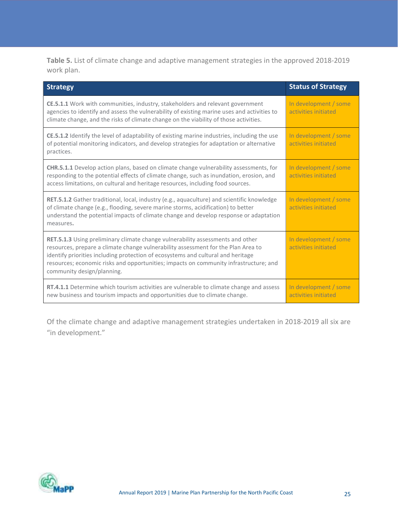Table 5. List of climate change and adaptive management strategies in the approved 2018-2019 work plan.

| <b>Strategy</b>                                                                                                                                                                                                                                                                                                                                                                       | <b>Status of Strategy</b>                     |
|---------------------------------------------------------------------------------------------------------------------------------------------------------------------------------------------------------------------------------------------------------------------------------------------------------------------------------------------------------------------------------------|-----------------------------------------------|
| CE.5.1.1 Work with communities, industry, stakeholders and relevant government<br>agencies to identify and assess the vulnerability of existing marine uses and activities to<br>climate change, and the risks of climate change on the viability of those activities.                                                                                                                | In development / some<br>activities initiated |
| CE.5.1.2 Identify the level of adaptability of existing marine industries, including the use<br>of potential monitoring indicators, and develop strategies for adaptation or alternative<br>practices.                                                                                                                                                                                | In development / some<br>activities initiated |
| CHR.5.1.1 Develop action plans, based on climate change vulnerability assessments, for<br>responding to the potential effects of climate change, such as inundation, erosion, and<br>access limitations, on cultural and heritage resources, including food sources.                                                                                                                  | In development / some<br>activities initiated |
| RET.5.1.2 Gather traditional, local, industry (e.g., aquaculture) and scientific knowledge<br>of climate change (e.g., flooding, severe marine storms, acidification) to better<br>understand the potential impacts of climate change and develop response or adaptation<br>measures.                                                                                                 | In development / some<br>activities initiated |
| <b>RET.5.1.3</b> Using preliminary climate change vulnerability assessments and other<br>resources, prepare a climate change vulnerability assessment for the Plan Area to<br>identify priorities including protection of ecosystems and cultural and heritage<br>resources; economic risks and opportunities; impacts on community infrastructure; and<br>community design/planning. | In development / some<br>activities initiated |
| RT.4.1.1 Determine which tourism activities are vulnerable to climate change and assess<br>new business and tourism impacts and opportunities due to climate change.                                                                                                                                                                                                                  | In development / some<br>activities initiated |

Of the climate change and adaptive management strategies undertaken in 2018-2019 all six are "in development."

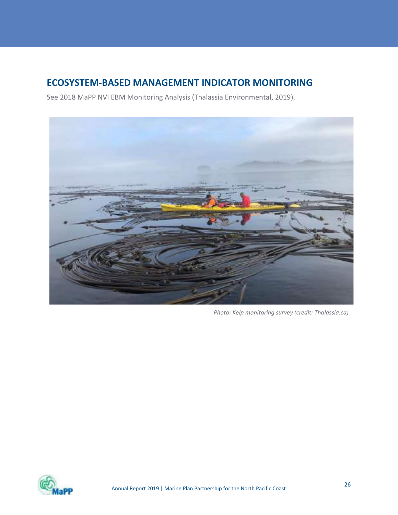# ECOSYSTEM-BASED MANAGEMENT INDICATOR MONITORING

See 2018 MaPP NVI EBM Monitoring Analysis (Thalassia Environmental, 2019).



Photo: Kelp monitoring survey (credit: Thalassia.ca)

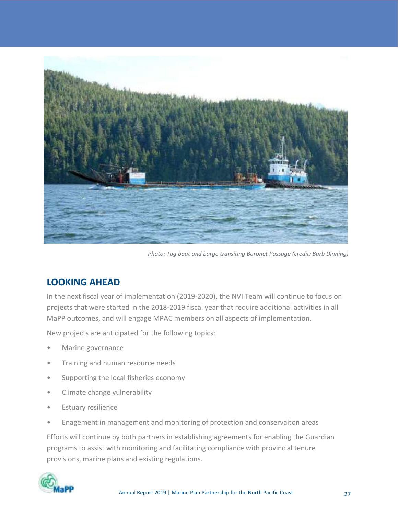

Photo: Tug boat and barge transiting Baronet Passage (credit: Barb Dinning)

# LOOKING AHEAD

In the next fiscal year of implementation (2019-2020), the NVI Team will continue to focus on projects that were started in the 2018-2019 fiscal year that require additional activities in all MaPP outcomes, and will engage MPAC members on all aspects of implementation.

New projects are anticipated for the following topics:

- Marine governance
- Training and human resource needs
- Supporting the local fisheries economy
- Climate change vulnerability
- Estuary resilience
- Enagement in management and monitoring of protection and conservaiton areas

Efforts will continue by both partners in establishing agreements for enabling the Guardian programs to assist with monitoring and facilitating compliance with provincial tenure provisions, marine plans and existing regulations.

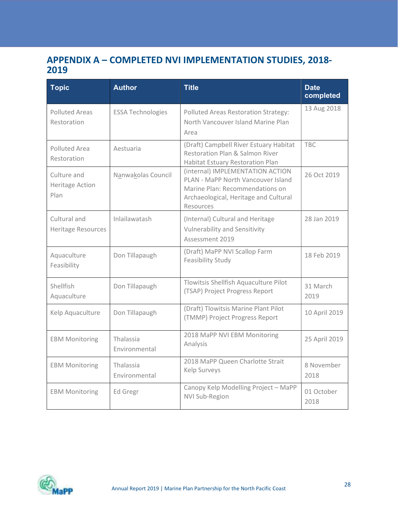# APPENDIX A – COMPLETED NVI IMPLEMENTATION STUDIES, 2018- 2019

| <b>Topic</b>                              | <b>Author</b>              | <b>Title</b>                                                                                                                                                    | <b>Date</b><br>completed |
|-------------------------------------------|----------------------------|-----------------------------------------------------------------------------------------------------------------------------------------------------------------|--------------------------|
| <b>Polluted Areas</b><br>Restoration      | <b>ESSA Technologies</b>   | Polluted Areas Restoration Strategy:<br>North Vancouver Island Marine Plan<br>Area                                                                              | 13 Aug 2018              |
| Polluted Area<br>Restoration              | Aestuaria                  | (Draft) Campbell River Estuary Habitat<br>Restoration Plan & Salmon River<br>Habitat Estuary Restoration Plan                                                   | <b>TBC</b>               |
| Culture and<br>Heritage Action<br>Plan    | Nanwakolas Council         | (internal) IMPLEMENTATION ACTION<br>PLAN - MaPP North Vancouver Island<br>Marine Plan: Recommendations on<br>Archaeological, Heritage and Cultural<br>Resources | 26 Oct 2019              |
| Cultural and<br><b>Heritage Resources</b> | Inlailawatash              | (Internal) Cultural and Heritage<br><b>Vulnerability and Sensitivity</b><br>Assessment 2019                                                                     | 28 Jan 2019              |
| Aquaculture<br>Feasibility                | Don Tillapaugh             | (Draft) MaPP NVI Scallop Farm<br>Feasibility Study                                                                                                              | 18 Feb 2019              |
| Shellfish<br>Aquaculture                  | Don Tillapaugh             | Tlowitsis Shellfish Aquaculture Pilot<br>(TSAP) Project Progress Report                                                                                         | 31 March<br>2019         |
| Kelp Aquaculture                          | Don Tillapaugh             | (Draft) Tlowitsis Marine Plant Pilot<br>(TMMP) Project Progress Report                                                                                          | 10 April 2019            |
| <b>EBM Monitoring</b>                     | Thalassia<br>Environmental | 2018 MaPP NVI EBM Monitoring<br>Analysis                                                                                                                        | 25 April 2019            |
| <b>EBM Monitoring</b>                     | Thalassia<br>Environmental | 2018 MaPP Queen Charlotte Strait<br>Kelp Surveys                                                                                                                | 8 November<br>2018       |
| <b>EBM Monitoring</b>                     | Ed Gregr                   | Canopy Kelp Modelling Project - MaPP<br>NVI Sub-Region                                                                                                          | 01 October<br>2018       |

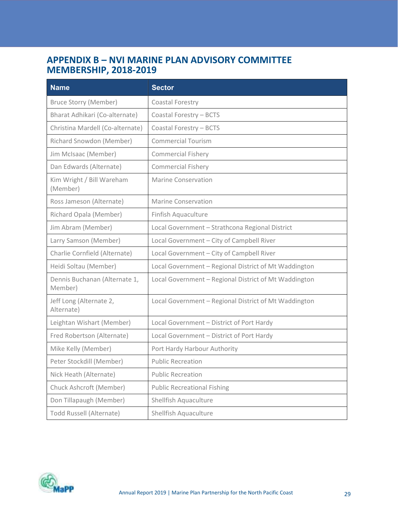# APPENDIX B – NVI MARINE PLAN ADVISORY COMMITTEE MEMBERSHIP, 2018-2019

| <b>Name</b>                              | <b>Sector</b>                                         |
|------------------------------------------|-------------------------------------------------------|
| <b>Bruce Storry (Member)</b>             | Coastal Forestry                                      |
| Bharat Adhikari (Co-alternate)           | Coastal Forestry - BCTS                               |
| Christina Mardell (Co-alternate)         | Coastal Forestry - BCTS                               |
| Richard Snowdon (Member)                 | <b>Commercial Tourism</b>                             |
| Jim McIsaac (Member)                     | <b>Commercial Fishery</b>                             |
| Dan Edwards (Alternate)                  | <b>Commercial Fishery</b>                             |
| Kim Wright / Bill Wareham<br>(Member)    | <b>Marine Conservation</b>                            |
| Ross Jameson (Alternate)                 | <b>Marine Conservation</b>                            |
| Richard Opala (Member)                   | Finfish Aquaculture                                   |
| Jim Abram (Member)                       | Local Government - Strathcona Regional District       |
| Larry Samson (Member)                    | Local Government - City of Campbell River             |
| Charlie Cornfield (Alternate)            | Local Government - City of Campbell River             |
| Heidi Soltau (Member)                    | Local Government - Regional District of Mt Waddington |
| Dennis Buchanan (Alternate 1,<br>Member) | Local Government - Regional District of Mt Waddington |
| Jeff Long (Alternate 2,<br>Alternate)    | Local Government - Regional District of Mt Waddington |
| Leightan Wishart (Member)                | Local Government - District of Port Hardy             |
| Fred Robertson (Alternate)               | Local Government - District of Port Hardy             |
| Mike Kelly (Member)                      | Port Hardy Harbour Authority                          |
| Peter Stockdill (Member)                 | <b>Public Recreation</b>                              |
| Nick Heath (Alternate)                   | <b>Public Recreation</b>                              |
| Chuck Ashcroft (Member)                  | <b>Public Recreational Fishing</b>                    |
| Don Tillapaugh (Member)                  | Shellfish Aquaculture                                 |
| Todd Russell (Alternate)                 | Shellfish Aquaculture                                 |

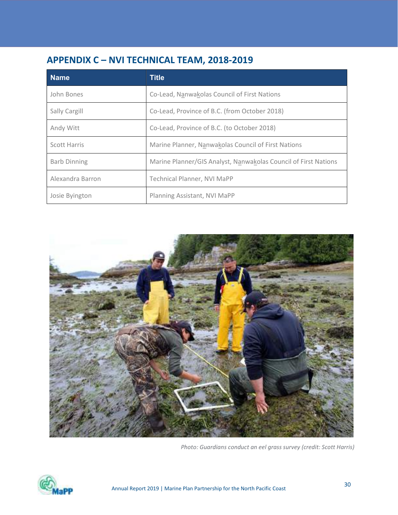# APPENDIX C – NVI TECHNICAL TEAM, 2018-2019

| <b>Name</b>         | <b>Title</b>                                                    |
|---------------------|-----------------------------------------------------------------|
| John Bones          | Co-Lead, Nanwakolas Council of First Nations                    |
| Sally Cargill       | Co-Lead, Province of B.C. (from October 2018)                   |
| Andy Witt           | Co-Lead, Province of B.C. (to October 2018)                     |
| Scott Harris        | Marine Planner, Nanwakolas Council of First Nations             |
| <b>Barb Dinning</b> | Marine Planner/GIS Analyst, Nanwakolas Council of First Nations |
| Alexandra Barron    | <b>Technical Planner, NVI MaPP</b>                              |
| Josie Byington      | Planning Assistant, NVI MaPP                                    |



Photo: Guardians conduct an eel grass survey (credit: Scott Harris)

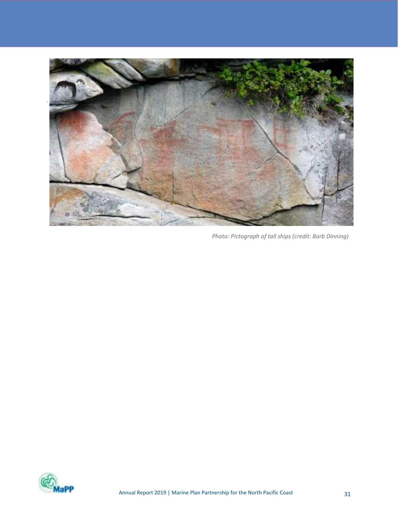

Photo: Pictograph of tall ships (credit: Barb Dinning)